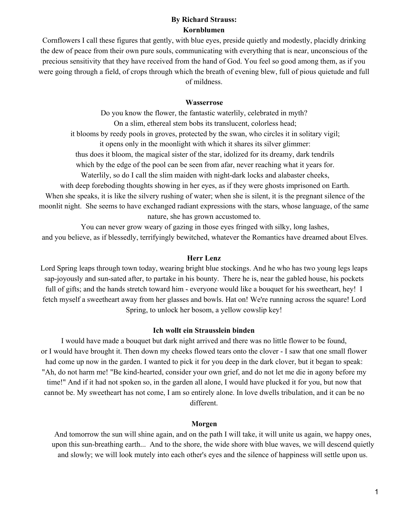## **By Richard Strauss: Kornblumen**

Cornflowers I call these figures that gently, with blue eyes, preside quietly and modestly, placidly drinking the dew of peace from their own pure souls, communicating with everything that is near, unconscious of the precious sensitivity that they have received from the hand of God. You feel so good among them, as if you were going through a field, of crops through which the breath of evening blew, full of pious quietude and full of mildness.

#### **Wasserrose**

Do you know the flower, the fantastic waterlily, celebrated in myth? On a slim, ethereal stem bobs its translucent, colorless head; it blooms by reedy pools in groves, protected by the swan, who circles it in solitary vigil; it opens only in the moonlight with which it shares its silver glimmer: thus does it bloom, the magical sister of the star, idolized for its dreamy, dark tendrils which by the edge of the pool can be seen from a far, never reaching what it years for. Waterlily, so do I call the slim maiden with night-dark locks and alabaster cheeks, with deep foreboding thoughts showing in her eyes, as if they were ghosts imprisoned on Earth. When she speaks, it is like the silvery rushing of water; when she is silent, it is the pregnant silence of the moonlit night. She seems to have exchanged radiant expressions with the stars, whose language, of the same

nature, she has grown accustomed to.

You can never grow weary of gazing in those eyes fringed with silky, long lashes, and you believe, as if blessedly, terrifyingly bewitched, whatever the Romantics have dreamed about Elves.

## **Herr Lenz**

Lord Spring leaps through town today, wearing bright blue stockings. And he who has two young legs leaps sap-joyously and sun-sated after, to partake in his bounty. There he is, near the gabled house, his pockets full of gifts; and the hands stretch toward him - everyone would like a bouquet for his sweetheart, hey! I fetch myself a sweetheart away from her glasses and bowls. Hat on! We're running across the square! Lord Spring, to unlock her bosom, a yellow cowslip key!

#### **Ich wollt ein Strausslein binden**

I would have made a bouquet but dark night arrived and there was no little flower to be found, or I would have brought it. Then down my cheeks flowed tears onto the clover - I saw that one small flower had come up now in the garden. I wanted to pick it for you deep in the dark clover, but it began to speak: "Ah, do not harm me! "Be kind-hearted, consider your own grief, and do not let me die in agony before my time!" And if it had not spoken so, in the garden all alone, I would have plucked it for you, but now that cannot be. My sweetheart has not come, I am so entirely alone. In love dwells tribulation, and it can be no different.

#### **Morgen**

And tomorrow the sun will shine again, and on the path I will take, it will unite us again, we happy ones, upon this sun-breathing earth... And to the shore, the wide shore with blue waves, we will descend quietly and slowly; we will look mutely into each other's eyes and the silence of happiness will settle upon us.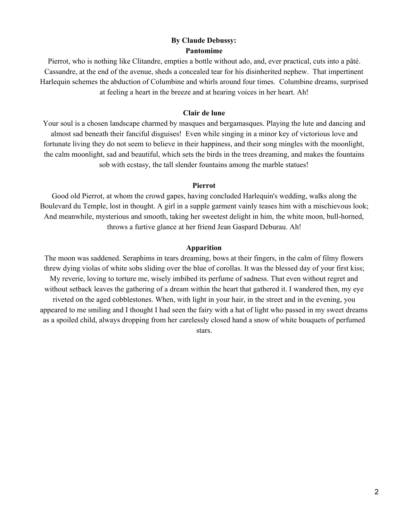# **By Claude Debussy: Pantomime**

Pierrot, who is nothing like Clitandre, empties a bottle without ado, and, ever practical, cuts into a pâté. Cassandre, at the end of the avenue, sheds a concealed tear for his disinherited nephew. That impertinent Harlequin schemes the abduction of Columbine and whirls around four times. Columbine dreams, surprised at feeling a heart in the breeze and at hearing voices in her heart. Ah!

### **Clair de lune**

Your soul is a chosen landscape charmed by masques and bergamasques. Playing the lute and dancing and almost sad beneath their fanciful disguises! Even while singing in a minor key of victorious love and fortunate living they do not seem to believe in their happiness, and their song mingles with the moonlight, the calm moonlight, sad and beautiful, which sets the birds in the trees dreaming, and makes the fountains sob with ecstasy, the tall slender fountains among the marble statues!

#### **Pierrot**

Good old Pierrot, at whom the crowd gapes, having concluded Harlequin's wedding, walks along the Boulevard du Temple, lost in thought. A girl in a supple garment vainly teases him with a mischievous look; And meanwhile, mysterious and smooth, taking her sweetest delight in him, the white moon, bull-horned, throws a furtive glance at her friend Jean Gaspard Deburau. Ah!

## **Apparition**

The moon was saddened. Seraphims in tears dreaming, bows at their fingers, in the calm of filmy flowers threw dying violas of white sobs sliding over the blue of corollas. It was the blessed day of your first kiss; My reverie, loving to torture me, wisely imbibed its perfume of sadness. That even without regret and without setback leaves the gathering of a dream within the heart that gathered it. I wandered then, my eye riveted on the aged cobblestones. When, with light in your hair, in the street and in the evening, you appeared to me smiling and I thought I had seen the fairy with a hat of light who passed in my sweet dreams as a spoiled child, always dropping from her carelessly closed hand a snow of white bouquets of perfumed stars.